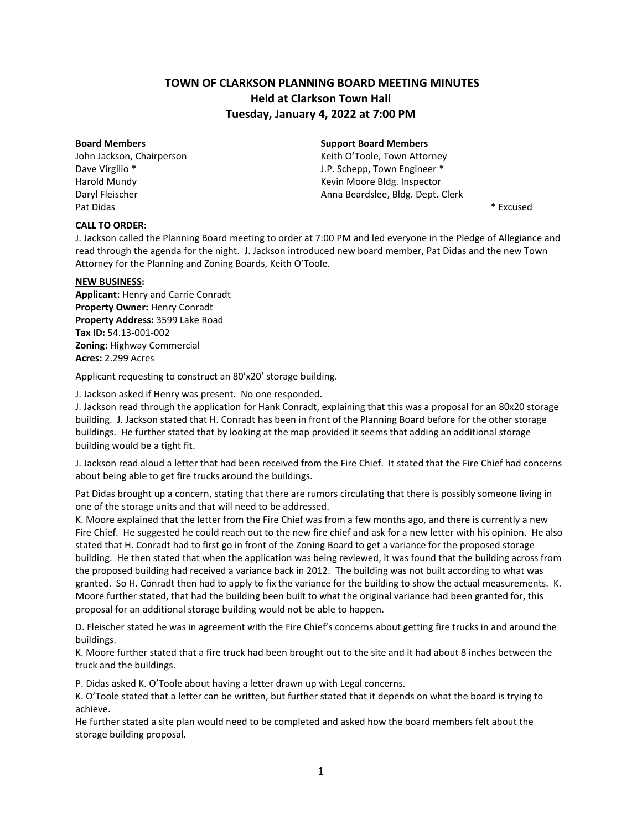# **TOWN OF CLARKSON PLANNING BOARD MEETING MINUTES Held at Clarkson Town Hall Tuesday, January 4, 2022 at 7:00 PM**

Pat Didas \* Excused \* \* Excused \* \* Excused \* \* Excused \* \* Excused \* \* Excused \*

# **Board Members Support Board Members**

John Jackson, Chairperson **Matter Contains a Community Contains Action** Keith O'Toole, Town Attorney Dave Virgilio \* The Community of the U.P. Schepp, Town Engineer \* Harold Mundy **Keyler Accord Mundy** Kevin Moore Bldg. Inspector Daryl Fleischer **Anna Beardslee, Bldg. Dept. Clerk** Anna Beardslee, Bldg. Dept. Clerk

# **CALL TO ORDER:**

J. Jackson called the Planning Board meeting to order at 7:00 PM and led everyone in the Pledge of Allegiance and read through the agenda for the night. J. Jackson introduced new board member, Pat Didas and the new Town Attorney for the Planning and Zoning Boards, Keith O'Toole.

# **NEW BUSINESS:**

**Applicant:** Henry and Carrie Conradt **Property Owner:** Henry Conradt **Property Address:** 3599 Lake Road **Tax ID:** 54.13-001-002 **Zoning:** Highway Commercial **Acres:** 2.299 Acres

Applicant requesting to construct an 80'x20' storage building.

J. Jackson asked if Henry was present. No one responded.

J. Jackson read through the application for Hank Conradt, explaining that this was a proposal for an 80x20 storage building. J. Jackson stated that H. Conradt has been in front of the Planning Board before for the other storage buildings. He further stated that by looking at the map provided it seems that adding an additional storage building would be a tight fit.

J. Jackson read aloud a letter that had been received from the Fire Chief. It stated that the Fire Chief had concerns about being able to get fire trucks around the buildings.

Pat Didas brought up a concern, stating that there are rumors circulating that there is possibly someone living in one of the storage units and that will need to be addressed.

K. Moore explained that the letter from the Fire Chief was from a few months ago, and there is currently a new Fire Chief. He suggested he could reach out to the new fire chief and ask for a new letter with his opinion. He also stated that H. Conradt had to first go in front of the Zoning Board to get a variance for the proposed storage building. He then stated that when the application was being reviewed, it was found that the building across from the proposed building had received a variance back in 2012. The building was not built according to what was granted. So H. Conradt then had to apply to fix the variance for the building to show the actual measurements. K. Moore further stated, that had the building been built to what the original variance had been granted for, this proposal for an additional storage building would not be able to happen.

D. Fleischer stated he was in agreement with the Fire Chief's concerns about getting fire trucks in and around the buildings.

K. Moore further stated that a fire truck had been brought out to the site and it had about 8 inches between the truck and the buildings.

P. Didas asked K. O'Toole about having a letter drawn up with Legal concerns.

K. O'Toole stated that a letter can be written, but further stated that it depends on what the board is trying to achieve.

He further stated a site plan would need to be completed and asked how the board members felt about the storage building proposal.